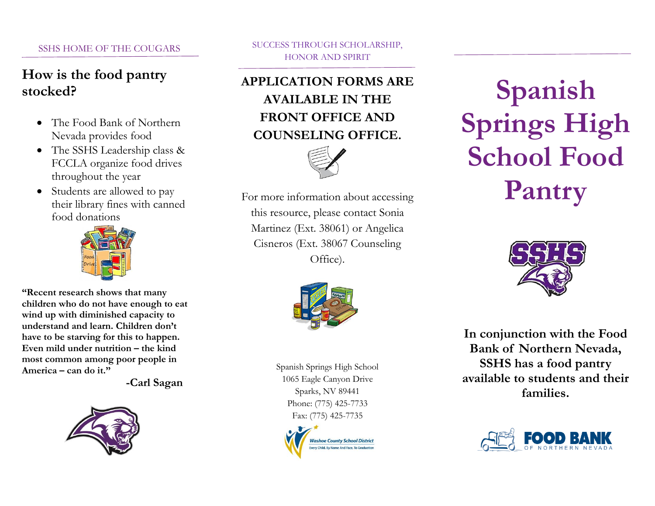#### SSHS HOME OF THE COUGARS

## **How is the food pantry stocked?**

- The Food Bank of Northern Nevada provides food
- The SSHS Leadership class & FCCLA organize food drives throughout the year
- Students are allowed to pay their library fines with canned food donations



**"Recent research shows that many children who do not have enough to eat wind up with diminished capacity to understand and learn. Children don't have to be starving for this to happen. Even mild under nutrition – the kind most common among poor people in America – can do it."**

 **-Carl Sagan**



SUCCESS THROUGH SCHOLARSHIP, HONOR AND SPIRIT

# **APPLICATION FORMS ARE AVAILABLE IN THE FRONT OFFICE AND COUNSELING OFFICE.**



For more information about accessing this resource, please contact Sonia Martinez (Ext. 38061) or Angelica Cisneros (Ext. 38067 Counseling Office).



Spanish Springs High School 1065 Eagle Canyon Drive Sparks, NV 89441 Phone: (775) 425-7733 Fax: (775) 425-7735



# **Spanish Springs High School Food Pantry**



**In conjunction with the Food Bank of Northern Nevada, SSHS has a food pantry available to students and their families.**